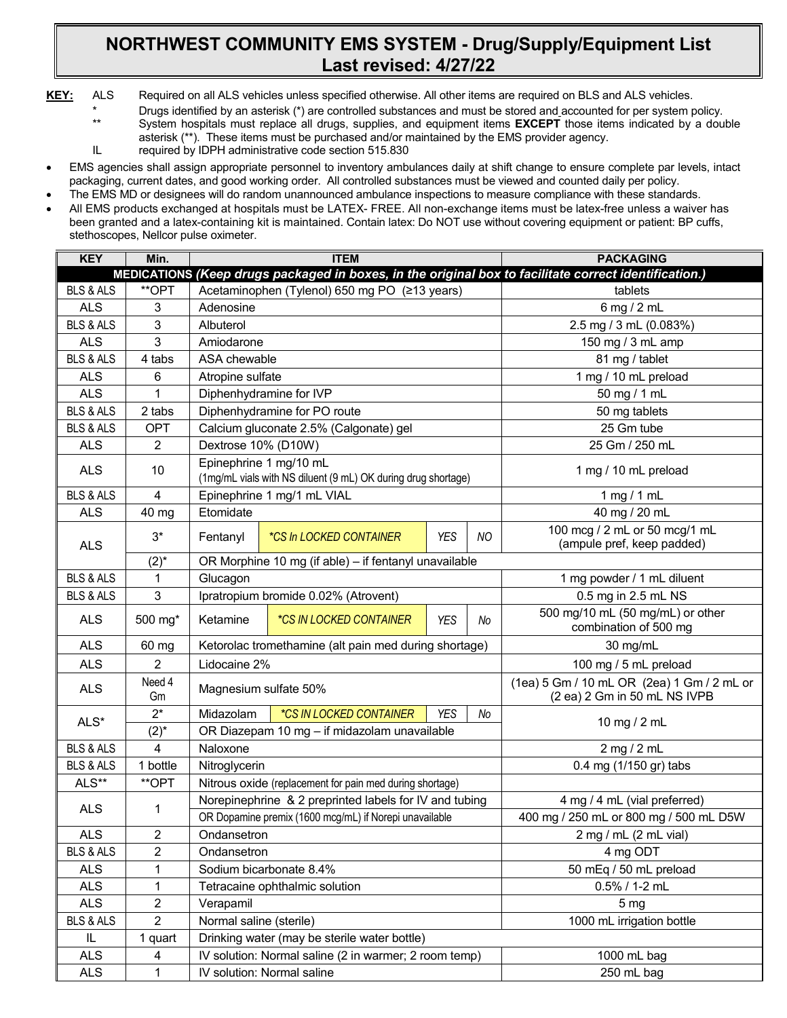## **NORTHWEST COMMUNITY EMS SYSTEM - Drug/Supply/Equipment List Last revised: 4/27/22**

- **KEY:** ALS Required on all ALS vehicles unless specified otherwise. All other items are required on BLS and ALS vehicles.
	- \* Drugs identified by an asterisk (\*) are controlled substances and must be stored and accounted for per system policy.<br>\*\* System hospitals must replace all drugs supplies and equipment items **FXCFPT** those items indicated
		- System hospitals must replace all drugs, supplies, and equipment items **EXCEPT** those items indicated by a double asterisk (\*\*). These items must be purchased and/or maintained by the EMS provider agency.
	- IL required by IDPH administrative code section 515.830
- EMS agencies shall assign appropriate personnel to inventory ambulances daily at shift change to ensure complete par levels, intact packaging, current dates, and good working order. All controlled substances must be viewed and counted daily per policy.
- The EMS MD or designees will do random unannounced ambulance inspections to measure compliance with these standards.
- All EMS products exchanged at hospitals must be LATEX- FREE. All non-exchange items must be latex-free unless a waiver has been granted and a latex-containing kit is maintained. Contain latex: Do NOT use without covering equipment or patient: BP cuffs, stethoscopes, Nellcor pulse oximeter.

| <b>KEY</b>           | Min.           | <b>ITEM</b>                                                          |                                                                                         |                                                                                                       |                                                                            | <b>PACKAGING</b>                                            |  |  |
|----------------------|----------------|----------------------------------------------------------------------|-----------------------------------------------------------------------------------------|-------------------------------------------------------------------------------------------------------|----------------------------------------------------------------------------|-------------------------------------------------------------|--|--|
|                      |                |                                                                      |                                                                                         | MEDICATIONS (Keep drugs packaged in boxes, in the original box to facilitate correct identification.) |                                                                            |                                                             |  |  |
| <b>BLS &amp; ALS</b> | **OPT          | Acetaminophen (Tylenol) 650 mg PO (≥13 years)                        |                                                                                         |                                                                                                       |                                                                            | tablets                                                     |  |  |
| <b>ALS</b>           | 3              | Adenosine                                                            |                                                                                         |                                                                                                       |                                                                            | 6 mg / 2 mL                                                 |  |  |
| <b>BLS &amp; ALS</b> | 3              | Albuterol                                                            |                                                                                         |                                                                                                       |                                                                            | 2.5 mg / 3 mL (0.083%)                                      |  |  |
| <b>ALS</b>           | 3              | Amiodarone                                                           |                                                                                         |                                                                                                       |                                                                            | 150 mg / 3 mL amp                                           |  |  |
| <b>BLS &amp; ALS</b> | 4 tabs         | ASA chewable                                                         |                                                                                         |                                                                                                       |                                                                            | 81 mg / tablet                                              |  |  |
| <b>ALS</b>           | 6              | Atropine sulfate                                                     |                                                                                         |                                                                                                       |                                                                            | 1 mg / 10 mL preload                                        |  |  |
| <b>ALS</b>           | 1              |                                                                      | Diphenhydramine for IVP                                                                 |                                                                                                       |                                                                            | 50 mg / 1 mL                                                |  |  |
| <b>BLS &amp; ALS</b> | 2 tabs         |                                                                      | Diphenhydramine for PO route                                                            |                                                                                                       |                                                                            | 50 mg tablets                                               |  |  |
| <b>BLS &amp; ALS</b> | <b>OPT</b>     |                                                                      | Calcium gluconate 2.5% (Calgonate) gel                                                  |                                                                                                       |                                                                            | 25 Gm tube                                                  |  |  |
| <b>ALS</b>           | 2              |                                                                      | Dextrose 10% (D10W)                                                                     |                                                                                                       |                                                                            | 25 Gm / 250 mL                                              |  |  |
| <b>ALS</b>           | 10             |                                                                      | Epinephrine 1 mg/10 mL<br>(1mg/mL vials with NS diluent (9 mL) OK during drug shortage) |                                                                                                       |                                                                            | 1 mg / 10 mL preload                                        |  |  |
| <b>BLS &amp; ALS</b> | $\overline{4}$ |                                                                      | Epinephrine 1 mg/1 mL VIAL                                                              |                                                                                                       |                                                                            | 1 mg / 1 mL                                                 |  |  |
| <b>ALS</b>           | 40 mg          | Etomidate                                                            |                                                                                         |                                                                                                       |                                                                            | 40 mg / 20 mL                                               |  |  |
| <b>ALS</b>           | $3^*$          | Fentanyl                                                             | <i>*CS In LOCKED CONTAINER</i>                                                          | <b>YES</b>                                                                                            | <b>NO</b>                                                                  | 100 mcg / 2 mL or 50 mcg/1 mL<br>(ampule pref, keep padded) |  |  |
|                      | $(2)^{*}$      |                                                                      | OR Morphine 10 mg (if able) - if fentanyl unavailable                                   |                                                                                                       |                                                                            |                                                             |  |  |
| <b>BLS &amp; ALS</b> | 1              | Glucagon                                                             |                                                                                         |                                                                                                       |                                                                            | 1 mg powder / 1 mL diluent                                  |  |  |
| <b>BLS &amp; ALS</b> | $\mathbf{3}$   |                                                                      | Ipratropium bromide 0.02% (Atrovent)                                                    |                                                                                                       |                                                                            | 0.5 mg in 2.5 mL NS                                         |  |  |
| <b>ALS</b>           | 500 mg*        | <b>YES</b><br>Ketamine<br>*CS IN LOCKED CONTAINER<br>No              |                                                                                         |                                                                                                       |                                                                            | 500 mg/10 mL (50 mg/mL) or other<br>combination of 500 mg   |  |  |
| <b>ALS</b>           | 60 mg          | Ketorolac tromethamine (alt pain med during shortage)                |                                                                                         |                                                                                                       |                                                                            | 30 mg/mL                                                    |  |  |
| <b>ALS</b>           | 2              | Lidocaine 2%                                                         |                                                                                         |                                                                                                       |                                                                            | 100 mg / 5 mL preload                                       |  |  |
| <b>ALS</b>           | Need 4<br>Gm   | Magnesium sulfate 50%                                                |                                                                                         |                                                                                                       | (1ea) 5 Gm / 10 mL OR (2ea) 1 Gm / 2 mL or<br>(2 ea) 2 Gm in 50 mL NS IVPB |                                                             |  |  |
| ALS*                 | $2^*$          | Midazolam                                                            | *CS IN LOCKED CONTAINER                                                                 | <b>YES</b>                                                                                            | No                                                                         | 10 mg / 2 mL                                                |  |  |
|                      | $(2)^{*}$      |                                                                      | OR Diazepam 10 mg - if midazolam unavailable                                            |                                                                                                       |                                                                            |                                                             |  |  |
| <b>BLS &amp; ALS</b> | 4              | Naloxone                                                             |                                                                                         |                                                                                                       |                                                                            | 2 mg / 2 mL                                                 |  |  |
| <b>BLS &amp; ALS</b> | 1 bottle       | Nitroglycerin                                                        |                                                                                         |                                                                                                       |                                                                            | 0.4 mg (1/150 gr) tabs                                      |  |  |
| ALS**                | **OPT          | Nitrous oxide (replacement for pain med during shortage)             |                                                                                         |                                                                                                       |                                                                            |                                                             |  |  |
| <b>ALS</b>           | 1              |                                                                      | Norepinephrine & 2 preprinted labels for IV and tubing                                  |                                                                                                       | 4 mg / 4 mL (vial preferred)                                               |                                                             |  |  |
|                      |                |                                                                      | OR Dopamine premix (1600 mcg/mL) if Norepi unavailable                                  |                                                                                                       | 400 mg / 250 mL or 800 mg / 500 mL D5W                                     |                                                             |  |  |
| <b>ALS</b>           | $\overline{2}$ | Ondansetron<br>2 mg / mL (2 mL vial)                                 |                                                                                         |                                                                                                       |                                                                            |                                                             |  |  |
| <b>BLS &amp; ALS</b> | $\overline{2}$ | Ondansetron                                                          |                                                                                         |                                                                                                       |                                                                            | 4 mg ODT                                                    |  |  |
| <b>ALS</b>           | 1              | 50 mEq / 50 mL preload<br>Sodium bicarbonate 8.4%                    |                                                                                         |                                                                                                       |                                                                            |                                                             |  |  |
| <b>ALS</b>           | 1              | Tetracaine ophthalmic solution                                       |                                                                                         |                                                                                                       |                                                                            | 0.5% / 1-2 mL                                               |  |  |
| <b>ALS</b>           | $\overline{2}$ | Verapamil<br>5 <sub>mg</sub>                                         |                                                                                         |                                                                                                       |                                                                            |                                                             |  |  |
| <b>BLS &amp; ALS</b> | $\overline{2}$ | Normal saline (sterile)<br>1000 mL irrigation bottle                 |                                                                                         |                                                                                                       |                                                                            |                                                             |  |  |
| IL                   | 1 quart        | Drinking water (may be sterile water bottle)                         |                                                                                         |                                                                                                       |                                                                            |                                                             |  |  |
| <b>ALS</b>           | 4              | IV solution: Normal saline (2 in warmer; 2 room temp)<br>1000 mL bag |                                                                                         |                                                                                                       |                                                                            |                                                             |  |  |
| <b>ALS</b>           | $\mathbf{1}$   | IV solution: Normal saline                                           |                                                                                         |                                                                                                       |                                                                            | 250 mL bag                                                  |  |  |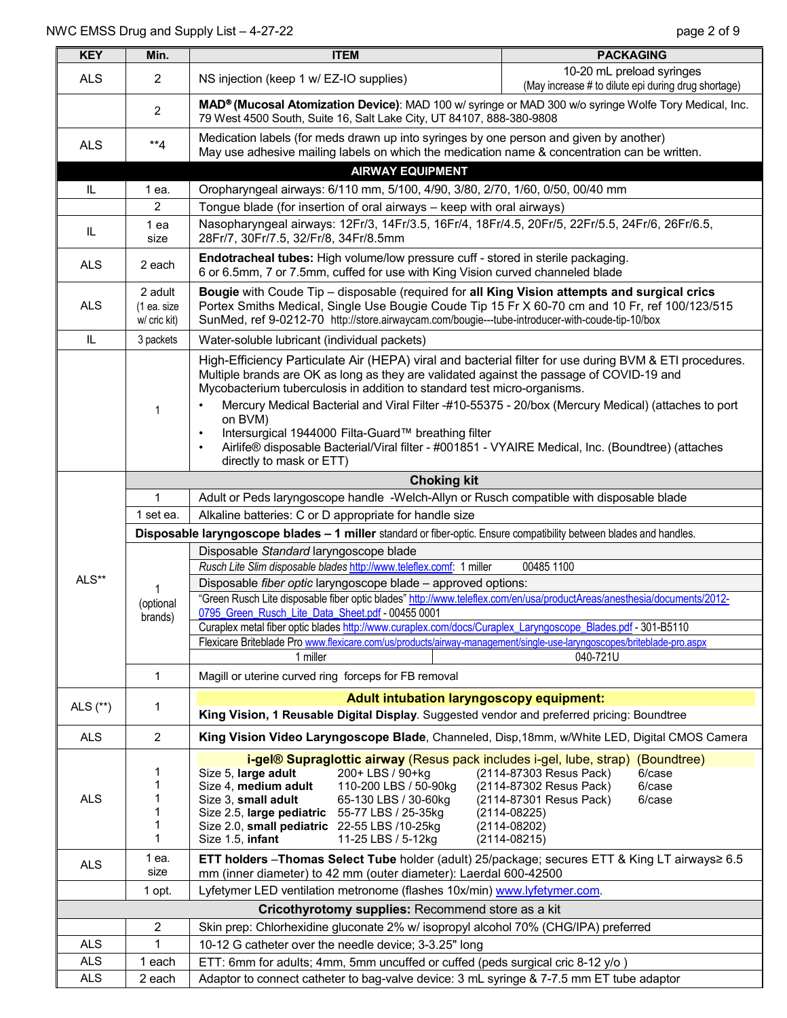| <b>KEY</b>                                     | Min.                                                                                                                                                 | <b>ITEM</b>                                                                                                                                                                                                                                                                                                                                                                                                                                                                                                                                                                                        | <b>PACKAGING</b>                                                                                                                                                   |  |  |  |  |  |
|------------------------------------------------|------------------------------------------------------------------------------------------------------------------------------------------------------|----------------------------------------------------------------------------------------------------------------------------------------------------------------------------------------------------------------------------------------------------------------------------------------------------------------------------------------------------------------------------------------------------------------------------------------------------------------------------------------------------------------------------------------------------------------------------------------------------|--------------------------------------------------------------------------------------------------------------------------------------------------------------------|--|--|--|--|--|
| <b>ALS</b>                                     | $\overline{2}$                                                                                                                                       | NS injection (keep 1 w/ EZ-IO supplies)                                                                                                                                                                                                                                                                                                                                                                                                                                                                                                                                                            | 10-20 mL preload syringes<br>(May increase # to dilute epi during drug shortage)                                                                                   |  |  |  |  |  |
|                                                | $\overline{2}$                                                                                                                                       | MAD® (Mucosal Atomization Device): MAD 100 w/ syringe or MAD 300 w/o syringe Wolfe Tory Medical, Inc.<br>79 West 4500 South, Suite 16, Salt Lake City, UT 84107, 888-380-9808                                                                                                                                                                                                                                                                                                                                                                                                                      |                                                                                                                                                                    |  |  |  |  |  |
| <b>ALS</b>                                     | $*$ <sup>*</sup> 4                                                                                                                                   | Medication labels (for meds drawn up into syringes by one person and given by another)<br>May use adhesive mailing labels on which the medication name & concentration can be written.                                                                                                                                                                                                                                                                                                                                                                                                             |                                                                                                                                                                    |  |  |  |  |  |
|                                                |                                                                                                                                                      | <b>AIRWAY EQUIPMENT</b>                                                                                                                                                                                                                                                                                                                                                                                                                                                                                                                                                                            |                                                                                                                                                                    |  |  |  |  |  |
| IL                                             | 1 ea.                                                                                                                                                | Oropharyngeal airways: 6/110 mm, 5/100, 4/90, 3/80, 2/70, 1/60, 0/50, 00/40 mm                                                                                                                                                                                                                                                                                                                                                                                                                                                                                                                     |                                                                                                                                                                    |  |  |  |  |  |
|                                                | $\overline{2}$                                                                                                                                       | Tongue blade (for insertion of oral airways - keep with oral airways)                                                                                                                                                                                                                                                                                                                                                                                                                                                                                                                              |                                                                                                                                                                    |  |  |  |  |  |
| IL                                             | 1 ea<br>size                                                                                                                                         | Nasopharyngeal airways: 12Fr/3, 14Fr/3.5, 16Fr/4, 18Fr/4.5, 20Fr/5, 22Fr/5.5, 24Fr/6, 26Fr/6.5,<br>28Fr/7, 30Fr/7.5, 32/Fr/8, 34Fr/8.5mm                                                                                                                                                                                                                                                                                                                                                                                                                                                           |                                                                                                                                                                    |  |  |  |  |  |
| <b>ALS</b>                                     | 2 each                                                                                                                                               |                                                                                                                                                                                                                                                                                                                                                                                                                                                                                                                                                                                                    | Endotracheal tubes: High volume/low pressure cuff - stored in sterile packaging.<br>6 or 6.5mm, 7 or 7.5mm, cuffed for use with King Vision curved channeled blade |  |  |  |  |  |
| <b>ALS</b>                                     | 2 adult<br>(1 ea. size<br>w/ cric kit)                                                                                                               | Bougie with Coude Tip - disposable (required for all King Vision attempts and surgical crics<br>Portex Smiths Medical, Single Use Bougie Coude Tip 15 Fr X 60-70 cm and 10 Fr, ref 100/123/515<br>SunMed, ref 9-0212-70 http://store.airwaycam.com/bougie---tube-introducer-with-coude-tip-10/box                                                                                                                                                                                                                                                                                                  |                                                                                                                                                                    |  |  |  |  |  |
| IL                                             | 3 packets                                                                                                                                            | Water-soluble lubricant (individual packets)                                                                                                                                                                                                                                                                                                                                                                                                                                                                                                                                                       |                                                                                                                                                                    |  |  |  |  |  |
|                                                | $\mathbf 1$                                                                                                                                          | High-Efficiency Particulate Air (HEPA) viral and bacterial filter for use during BVM & ETI procedures.<br>Multiple brands are OK as long as they are validated against the passage of COVID-19 and<br>Mycobacterium tuberculosis in addition to standard test micro-organisms.<br>Mercury Medical Bacterial and Viral Filter -#10-55375 - 20/box (Mercury Medical) (attaches to port<br>$\bullet$<br>on BVM)<br>Intersurgical 1944000 Filta-Guard™ breathing filter<br>$\bullet$<br>Airlife® disposable Bacterial/Viral filter - #001851 - VYAIRE Medical, Inc. (Boundtree) (attaches<br>$\bullet$ |                                                                                                                                                                    |  |  |  |  |  |
| directly to mask or ETT)<br><b>Choking kit</b> |                                                                                                                                                      |                                                                                                                                                                                                                                                                                                                                                                                                                                                                                                                                                                                                    |                                                                                                                                                                    |  |  |  |  |  |
|                                                | $\mathbf{1}$                                                                                                                                         | Adult or Peds laryngoscope handle -Welch-Allyn or Rusch compatible with disposable blade                                                                                                                                                                                                                                                                                                                                                                                                                                                                                                           |                                                                                                                                                                    |  |  |  |  |  |
|                                                | 1 set ea.                                                                                                                                            | Alkaline batteries: C or D appropriate for handle size                                                                                                                                                                                                                                                                                                                                                                                                                                                                                                                                             |                                                                                                                                                                    |  |  |  |  |  |
|                                                |                                                                                                                                                      | Disposable laryngoscope blades - 1 miller standard or fiber-optic. Ensure compatibility between blades and handles.                                                                                                                                                                                                                                                                                                                                                                                                                                                                                |                                                                                                                                                                    |  |  |  |  |  |
|                                                |                                                                                                                                                      | Disposable Standard laryngoscope blade                                                                                                                                                                                                                                                                                                                                                                                                                                                                                                                                                             |                                                                                                                                                                    |  |  |  |  |  |
|                                                |                                                                                                                                                      | Rusch Lite Slim disposable blades http://www.teleflex.comf: 1 miller<br>00485 1100                                                                                                                                                                                                                                                                                                                                                                                                                                                                                                                 |                                                                                                                                                                    |  |  |  |  |  |
| ALS**                                          | (optional<br>brands)                                                                                                                                 | Disposable fiber optic laryngoscope blade - approved options:                                                                                                                                                                                                                                                                                                                                                                                                                                                                                                                                      |                                                                                                                                                                    |  |  |  |  |  |
|                                                |                                                                                                                                                      | "Green Rusch Lite disposable fiber optic blades" http://www.teleflex.com/en/usa/productAreas/anesthesia/documents/2012-<br>0795_Green_Rusch_Lite_Data_Sheet.pdf - 00455 0001                                                                                                                                                                                                                                                                                                                                                                                                                       |                                                                                                                                                                    |  |  |  |  |  |
|                                                |                                                                                                                                                      | Curaplex metal fiber optic blades http://www.curaplex.com/docs/Curaplex_Laryngoscope_Blades.pdf - 301-B5110                                                                                                                                                                                                                                                                                                                                                                                                                                                                                        |                                                                                                                                                                    |  |  |  |  |  |
|                                                |                                                                                                                                                      | Flexicare Briteblade Pro www.flexicare.com/us/products/airway-management/single-use-laryngoscopes/briteblade-pro.aspx                                                                                                                                                                                                                                                                                                                                                                                                                                                                              |                                                                                                                                                                    |  |  |  |  |  |
|                                                |                                                                                                                                                      | 1 miller                                                                                                                                                                                                                                                                                                                                                                                                                                                                                                                                                                                           | 040-721U                                                                                                                                                           |  |  |  |  |  |
|                                                | $\mathbf{1}$                                                                                                                                         | Magill or uterine curved ring forceps for FB removal                                                                                                                                                                                                                                                                                                                                                                                                                                                                                                                                               |                                                                                                                                                                    |  |  |  |  |  |
|                                                |                                                                                                                                                      | <b>Adult intubation laryngoscopy equipment:</b>                                                                                                                                                                                                                                                                                                                                                                                                                                                                                                                                                    |                                                                                                                                                                    |  |  |  |  |  |
| ALS $(**)$                                     | 1                                                                                                                                                    | King Vision, 1 Reusable Digital Display. Suggested vendor and preferred pricing: Boundtree                                                                                                                                                                                                                                                                                                                                                                                                                                                                                                         |                                                                                                                                                                    |  |  |  |  |  |
| <b>ALS</b>                                     | $\overline{2}$                                                                                                                                       | King Vision Video Laryngoscope Blade, Channeled, Disp, 18mm, w/White LED, Digital CMOS Camera                                                                                                                                                                                                                                                                                                                                                                                                                                                                                                      |                                                                                                                                                                    |  |  |  |  |  |
|                                                |                                                                                                                                                      | <b>i-gel<sup>®</sup> Supraglottic airway</b> (Resus pack includes i-gel, lube, strap)                                                                                                                                                                                                                                                                                                                                                                                                                                                                                                              | (Boundtree)                                                                                                                                                        |  |  |  |  |  |
|                                                | 1<br>1                                                                                                                                               | Size 5, large adult<br>200+ LBS / 90+kg<br>Size 4, medium adult<br>110-200 LBS / 50-90kg                                                                                                                                                                                                                                                                                                                                                                                                                                                                                                           | 6/case<br>(2114-87303 Resus Pack)<br>(2114-87302 Resus Pack)<br>6/case                                                                                             |  |  |  |  |  |
| <b>ALS</b>                                     | 1                                                                                                                                                    | 65-130 LBS / 30-60kg<br>Size 3, small adult                                                                                                                                                                                                                                                                                                                                                                                                                                                                                                                                                        | (2114-87301 Resus Pack)<br>6/case                                                                                                                                  |  |  |  |  |  |
|                                                | 1                                                                                                                                                    | Size 2.5, large pediatric 55-77 LBS / 25-35kg                                                                                                                                                                                                                                                                                                                                                                                                                                                                                                                                                      | $(2114 - 08225)$                                                                                                                                                   |  |  |  |  |  |
|                                                | 1<br>1                                                                                                                                               | Size 2.0, small pediatric 22-55 LBS /10-25kg<br>Size 1.5, infant<br>11-25 LBS / 5-12kg                                                                                                                                                                                                                                                                                                                                                                                                                                                                                                             | $(2114 - 08202)$                                                                                                                                                   |  |  |  |  |  |
| <b>ALS</b>                                     | 1 ea.                                                                                                                                                | $(2114 - 08215)$<br>ETT holders - Thomas Select Tube holder (adult) 25/package; secures ETT & King LT airways≥ 6.5                                                                                                                                                                                                                                                                                                                                                                                                                                                                                 |                                                                                                                                                                    |  |  |  |  |  |
|                                                | size<br>mm (inner diameter) to 42 mm (outer diameter): Laerdal 600-42500<br>Lyfetymer LED ventilation metronome (flashes 10x/min) www.lyfetymer.com. |                                                                                                                                                                                                                                                                                                                                                                                                                                                                                                                                                                                                    |                                                                                                                                                                    |  |  |  |  |  |
|                                                | 1 opt.                                                                                                                                               |                                                                                                                                                                                                                                                                                                                                                                                                                                                                                                                                                                                                    |                                                                                                                                                                    |  |  |  |  |  |
|                                                | $\sqrt{2}$                                                                                                                                           | Cricothyrotomy supplies: Recommend store as a kit                                                                                                                                                                                                                                                                                                                                                                                                                                                                                                                                                  |                                                                                                                                                                    |  |  |  |  |  |
| <b>ALS</b>                                     | 1                                                                                                                                                    | Skin prep: Chlorhexidine gluconate 2% w/ isopropyl alcohol 70% (CHG/IPA) preferred<br>10-12 G catheter over the needle device; 3-3.25" long                                                                                                                                                                                                                                                                                                                                                                                                                                                        |                                                                                                                                                                    |  |  |  |  |  |
| <b>ALS</b>                                     | 1 each                                                                                                                                               | ETT: 6mm for adults; 4mm, 5mm uncuffed or cuffed (peds surgical cric 8-12 y/o)                                                                                                                                                                                                                                                                                                                                                                                                                                                                                                                     |                                                                                                                                                                    |  |  |  |  |  |
| <b>ALS</b>                                     | 2 each                                                                                                                                               | Adaptor to connect catheter to bag-valve device: 3 mL syringe & 7-7.5 mm ET tube adaptor                                                                                                                                                                                                                                                                                                                                                                                                                                                                                                           |                                                                                                                                                                    |  |  |  |  |  |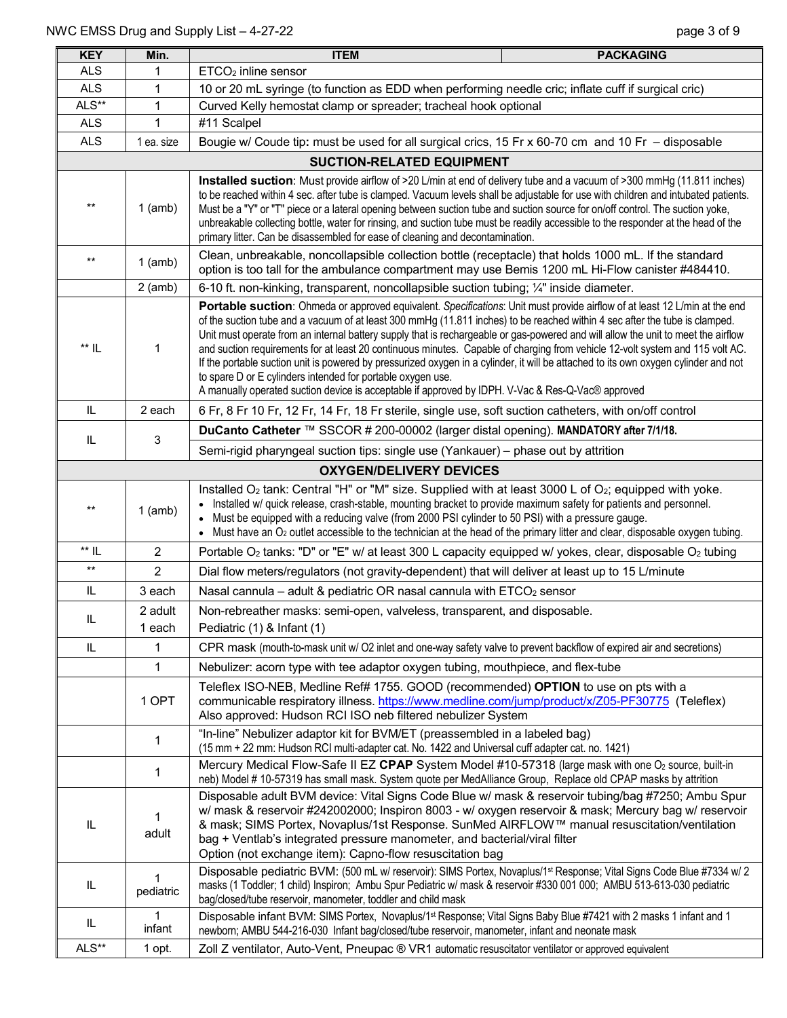| <b>KEY</b>         | Min.                             | <b>PACKAGING</b><br><b>ITEM</b>                                                                                                                                                                                                                                                                                                                                                                                                                                                                                                                                                                                                                                                                                                                                                                                                            |  |  |  |  |  |  |
|--------------------|----------------------------------|--------------------------------------------------------------------------------------------------------------------------------------------------------------------------------------------------------------------------------------------------------------------------------------------------------------------------------------------------------------------------------------------------------------------------------------------------------------------------------------------------------------------------------------------------------------------------------------------------------------------------------------------------------------------------------------------------------------------------------------------------------------------------------------------------------------------------------------------|--|--|--|--|--|--|
| <b>ALS</b>         | 1                                | ETCO <sub>2</sub> inline sensor                                                                                                                                                                                                                                                                                                                                                                                                                                                                                                                                                                                                                                                                                                                                                                                                            |  |  |  |  |  |  |
| <b>ALS</b>         | $\mathbf{1}$                     | 10 or 20 mL syringe (to function as EDD when performing needle cric; inflate cuff if surgical cric)                                                                                                                                                                                                                                                                                                                                                                                                                                                                                                                                                                                                                                                                                                                                        |  |  |  |  |  |  |
| ALS**              | 1                                | Curved Kelly hemostat clamp or spreader; tracheal hook optional                                                                                                                                                                                                                                                                                                                                                                                                                                                                                                                                                                                                                                                                                                                                                                            |  |  |  |  |  |  |
| <b>ALS</b>         | 1                                | #11 Scalpel                                                                                                                                                                                                                                                                                                                                                                                                                                                                                                                                                                                                                                                                                                                                                                                                                                |  |  |  |  |  |  |
| <b>ALS</b>         | 1 ea. size                       | Bougie w/ Coude tip: must be used for all surgical crics, 15 Fr x 60-70 cm and 10 Fr - disposable                                                                                                                                                                                                                                                                                                                                                                                                                                                                                                                                                                                                                                                                                                                                          |  |  |  |  |  |  |
|                    | <b>SUCTION-RELATED EQUIPMENT</b> |                                                                                                                                                                                                                                                                                                                                                                                                                                                                                                                                                                                                                                                                                                                                                                                                                                            |  |  |  |  |  |  |
| $***$              | $1$ (amb)                        | Installed suction: Must provide airflow of >20 L/min at end of delivery tube and a vacuum of >300 mmHg (11.811 inches)<br>to be reached within 4 sec. after tube is clamped. Vacuum levels shall be adjustable for use with children and intubated patients.<br>Must be a "Y" or "T" piece or a lateral opening between suction tube and suction source for on/off control. The suction yoke,<br>unbreakable collecting bottle, water for rinsing, and suction tube must be readily accessible to the responder at the head of the<br>primary litter. Can be disassembled for ease of cleaning and decontamination.                                                                                                                                                                                                                        |  |  |  |  |  |  |
| $***$              | $1$ (amb)                        | Clean, unbreakable, noncollapsible collection bottle (receptacle) that holds 1000 mL. If the standard<br>option is too tall for the ambulance compartment may use Bemis 1200 mL Hi-Flow canister #484410.                                                                                                                                                                                                                                                                                                                                                                                                                                                                                                                                                                                                                                  |  |  |  |  |  |  |
|                    | $2$ (amb)                        | 6-10 ft. non-kinking, transparent, noncollapsible suction tubing; $\frac{1}{4}$ inside diameter.                                                                                                                                                                                                                                                                                                                                                                                                                                                                                                                                                                                                                                                                                                                                           |  |  |  |  |  |  |
| ** IL              | 1                                | Portable suction: Ohmeda or approved equivalent. Specifications: Unit must provide airflow of at least 12 L/min at the end<br>of the suction tube and a vacuum of at least 300 mmHg (11.811 inches) to be reached within 4 sec after the tube is clamped.<br>Unit must operate from an internal battery supply that is rechargeable or gas-powered and will allow the unit to meet the airflow<br>and suction requirements for at least 20 continuous minutes. Capable of charging from vehicle 12-volt system and 115 volt AC.<br>If the portable suction unit is powered by pressurized oxygen in a cylinder, it will be attached to its own oxygen cylinder and not<br>to spare D or E cylinders intended for portable oxygen use.<br>A manually operated suction device is acceptable if approved by IDPH. V-Vac & Res-Q-Vac® approved |  |  |  |  |  |  |
| IL.                | 2 each                           | 6 Fr, 8 Fr 10 Fr, 12 Fr, 14 Fr, 18 Fr sterile, single use, soft suction catheters, with on/off control                                                                                                                                                                                                                                                                                                                                                                                                                                                                                                                                                                                                                                                                                                                                     |  |  |  |  |  |  |
|                    |                                  | DuCanto Catheter ™ SSCOR # 200-00002 (larger distal opening). MANDATORY after 7/1/18.                                                                                                                                                                                                                                                                                                                                                                                                                                                                                                                                                                                                                                                                                                                                                      |  |  |  |  |  |  |
| IL                 | 3                                | Semi-rigid pharyngeal suction tips: single use (Yankauer) - phase out by attrition                                                                                                                                                                                                                                                                                                                                                                                                                                                                                                                                                                                                                                                                                                                                                         |  |  |  |  |  |  |
|                    |                                  | <b>OXYGEN/DELIVERY DEVICES</b>                                                                                                                                                                                                                                                                                                                                                                                                                                                                                                                                                                                                                                                                                                                                                                                                             |  |  |  |  |  |  |
| $***$              | $1$ (amb)                        | Installed O <sub>2</sub> tank: Central "H" or "M" size. Supplied with at least 3000 L of O <sub>2</sub> ; equipped with yoke.<br>Installed w/ quick release, crash-stable, mounting bracket to provide maximum safety for patients and personnel.<br>Must be equipped with a reducing valve (from 2000 PSI cylinder to 50 PSI) with a pressure gauge.<br>Must have an O <sub>2</sub> outlet accessible to the technician at the head of the primary litter and clear, disposable oxygen tubing.                                                                                                                                                                                                                                                                                                                                            |  |  |  |  |  |  |
| $^{\star\star}$ IL | $\overline{2}$                   | Portable O <sub>2</sub> tanks: "D" or "E" w/ at least 300 L capacity equipped w/ yokes, clear, disposable O <sub>2</sub> tubing                                                                                                                                                                                                                                                                                                                                                                                                                                                                                                                                                                                                                                                                                                            |  |  |  |  |  |  |
| $^{\star\star}$    | $\overline{2}$                   | Dial flow meters/regulators (not gravity-dependent) that will deliver at least up to 15 L/minute                                                                                                                                                                                                                                                                                                                                                                                                                                                                                                                                                                                                                                                                                                                                           |  |  |  |  |  |  |
| IL                 | 3 each                           | Nasal cannula - adult & pediatric OR nasal cannula with ETCO2 sensor                                                                                                                                                                                                                                                                                                                                                                                                                                                                                                                                                                                                                                                                                                                                                                       |  |  |  |  |  |  |
| IL                 | 2 adult<br>1 each                | Non-rebreather masks: semi-open, valveless, transparent, and disposable.<br>Pediatric (1) & Infant (1)                                                                                                                                                                                                                                                                                                                                                                                                                                                                                                                                                                                                                                                                                                                                     |  |  |  |  |  |  |
| IL                 | 1                                | CPR mask (mouth-to-mask unit w/ O2 inlet and one-way safety valve to prevent backflow of expired air and secretions)                                                                                                                                                                                                                                                                                                                                                                                                                                                                                                                                                                                                                                                                                                                       |  |  |  |  |  |  |
|                    | 1                                | Nebulizer: acorn type with tee adaptor oxygen tubing, mouthpiece, and flex-tube                                                                                                                                                                                                                                                                                                                                                                                                                                                                                                                                                                                                                                                                                                                                                            |  |  |  |  |  |  |
|                    | 1 OPT                            | Teleflex ISO-NEB, Medline Ref# 1755. GOOD (recommended) OPTION to use on pts with a<br>communicable respiratory illness. https://www.medline.com/jump/product/x/Z05-PF30775 (Teleflex)<br>Also approved: Hudson RCI ISO neb filtered nebulizer System                                                                                                                                                                                                                                                                                                                                                                                                                                                                                                                                                                                      |  |  |  |  |  |  |
|                    | 1                                | "In-line" Nebulizer adaptor kit for BVM/ET (preassembled in a labeled bag)<br>(15 mm + 22 mm: Hudson RCI multi-adapter cat. No. 1422 and Universal cuff adapter cat. no. 1421)                                                                                                                                                                                                                                                                                                                                                                                                                                                                                                                                                                                                                                                             |  |  |  |  |  |  |
|                    | 1                                | Mercury Medical Flow-Safe II EZ CPAP System Model #10-57318 (large mask with one O2 source, built-in<br>neb) Model # 10-57319 has small mask. System quote per MedAlliance Group, Replace old CPAP masks by attrition                                                                                                                                                                                                                                                                                                                                                                                                                                                                                                                                                                                                                      |  |  |  |  |  |  |
| IL                 | 1<br>adult                       | Disposable adult BVM device: Vital Signs Code Blue w/ mask & reservoir tubing/bag #7250; Ambu Spur<br>w/ mask & reservoir #242002000; Inspiron 8003 - w/ oxygen reservoir & mask; Mercury bag w/ reservoir<br>& mask; SIMS Portex, Novaplus/1st Response. SunMed AIRFLOW™ manual resuscitation/ventilation<br>bag + Ventlab's integrated pressure manometer, and bacterial/viral filter<br>Option (not exchange item): Capno-flow resuscitation bag                                                                                                                                                                                                                                                                                                                                                                                        |  |  |  |  |  |  |
| IL                 | 1<br>pediatric                   | Disposable pediatric BVM: (500 mL w/ reservoir): SIMS Portex, Novaplus/1st Response; Vital Signs Code Blue #7334 w/ 2<br>masks (1 Toddler; 1 child) Inspiron; Ambu Spur Pediatric w/ mask & reservoir #330 001 000; AMBU 513-613-030 pediatric<br>bag/closed/tube reservoir, manometer, toddler and child mask                                                                                                                                                                                                                                                                                                                                                                                                                                                                                                                             |  |  |  |  |  |  |
| IL.                | infant                           | Disposable infant BVM: SIMS Portex, Novaplus/1 <sup>st</sup> Response; Vital Signs Baby Blue #7421 with 2 masks 1 infant and 1<br>newborn; AMBU 544-216-030 Infant bag/closed/tube reservoir, manometer, infant and neonate mask                                                                                                                                                                                                                                                                                                                                                                                                                                                                                                                                                                                                           |  |  |  |  |  |  |
| ALS**              | 1 opt.                           | Zoll Z ventilator, Auto-Vent, Pneupac ® VR1 automatic resuscitator ventilator or approved equivalent                                                                                                                                                                                                                                                                                                                                                                                                                                                                                                                                                                                                                                                                                                                                       |  |  |  |  |  |  |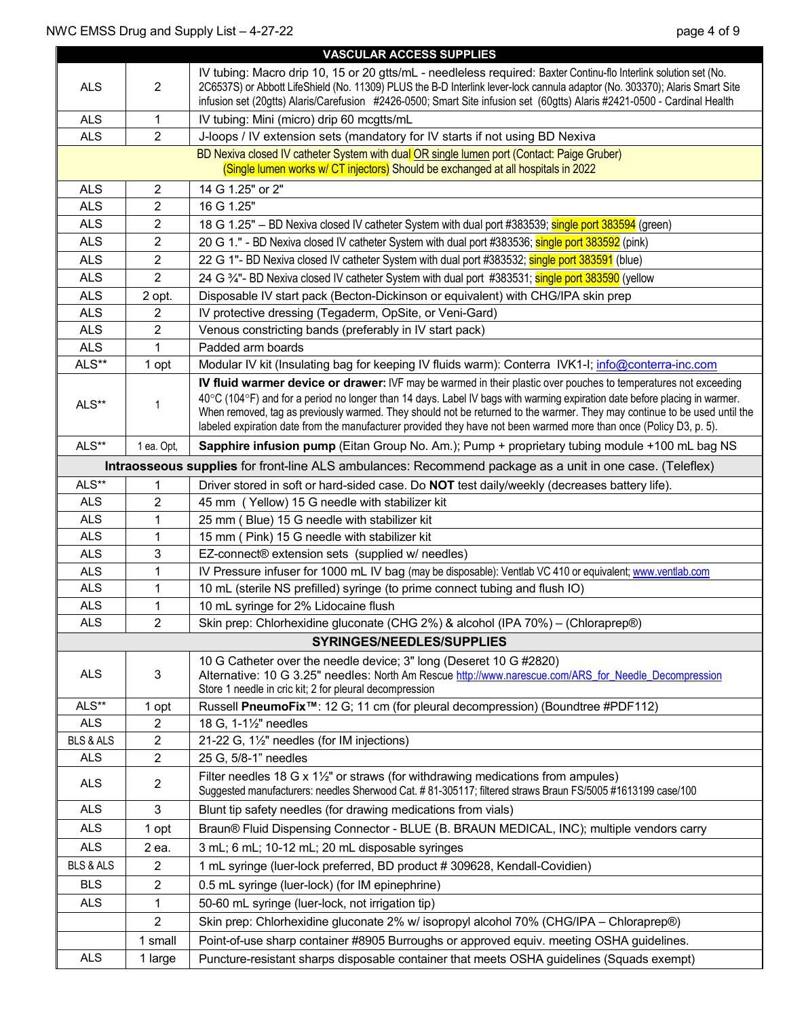|                      |                         | <b>VASCULAR ACCESS SUPPLIES</b>                                                                                                                                                                                                                                                                                                                                                                                                                                                                  |  |  |  |  |  |
|----------------------|-------------------------|--------------------------------------------------------------------------------------------------------------------------------------------------------------------------------------------------------------------------------------------------------------------------------------------------------------------------------------------------------------------------------------------------------------------------------------------------------------------------------------------------|--|--|--|--|--|
| <b>ALS</b>           | $\overline{2}$          | IV tubing: Macro drip 10, 15 or 20 gtts/mL - needleless required: Baxter Continu-flo Interlink solution set (No.<br>2C6537S) or Abbott LifeShield (No. 11309) PLUS the B-D Interlink lever-lock cannula adaptor (No. 303370); Alaris Smart Site<br>infusion set (20gtts) Alaris/Carefusion #2426-0500; Smart Site infusion set (60gtts) Alaris #2421-0500 - Cardinal Health                                                                                                                      |  |  |  |  |  |
| <b>ALS</b>           | $\mathbf{1}$            | IV tubing: Mini (micro) drip 60 mcgtts/mL                                                                                                                                                                                                                                                                                                                                                                                                                                                        |  |  |  |  |  |
| <b>ALS</b>           | $\overline{2}$          | J-loops / IV extension sets (mandatory for IV starts if not using BD Nexiva                                                                                                                                                                                                                                                                                                                                                                                                                      |  |  |  |  |  |
|                      |                         | BD Nexiva closed IV catheter System with dual OR single lumen port (Contact: Paige Gruber)                                                                                                                                                                                                                                                                                                                                                                                                       |  |  |  |  |  |
|                      |                         | (Single lumen works w/ CT injectors) Should be exchanged at all hospitals in 2022                                                                                                                                                                                                                                                                                                                                                                                                                |  |  |  |  |  |
| <b>ALS</b>           | $\overline{c}$          | 14 G 1.25" or 2"                                                                                                                                                                                                                                                                                                                                                                                                                                                                                 |  |  |  |  |  |
| <b>ALS</b>           | $\overline{2}$          | 16 G 1.25"                                                                                                                                                                                                                                                                                                                                                                                                                                                                                       |  |  |  |  |  |
| <b>ALS</b>           | 2                       | 18 G 1.25" - BD Nexiva closed IV catheter System with dual port #383539; single port 383594 (green)                                                                                                                                                                                                                                                                                                                                                                                              |  |  |  |  |  |
| <b>ALS</b>           | 2                       | 20 G 1." - BD Nexiva closed IV catheter System with dual port #383536; single port 383592 (pink)                                                                                                                                                                                                                                                                                                                                                                                                 |  |  |  |  |  |
| <b>ALS</b>           | $\overline{2}$          | 22 G 1"- BD Nexiva closed IV catheter System with dual port #383532; single port 383591 (blue)                                                                                                                                                                                                                                                                                                                                                                                                   |  |  |  |  |  |
| <b>ALS</b>           | $\overline{2}$          | 24 G <sup>3</sup> / <sub>4</sub> "- BD Nexiva closed IV catheter System with dual port #383531; single port 383590 (yellow                                                                                                                                                                                                                                                                                                                                                                       |  |  |  |  |  |
| <b>ALS</b>           | 2 opt.                  | Disposable IV start pack (Becton-Dickinson or equivalent) with CHG/IPA skin prep                                                                                                                                                                                                                                                                                                                                                                                                                 |  |  |  |  |  |
| <b>ALS</b>           | 2                       | IV protective dressing (Tegaderm, OpSite, or Veni-Gard)                                                                                                                                                                                                                                                                                                                                                                                                                                          |  |  |  |  |  |
| <b>ALS</b>           | $\overline{2}$          | Venous constricting bands (preferably in IV start pack)                                                                                                                                                                                                                                                                                                                                                                                                                                          |  |  |  |  |  |
| <b>ALS</b>           |                         | Padded arm boards                                                                                                                                                                                                                                                                                                                                                                                                                                                                                |  |  |  |  |  |
| ALS**                | 1 opt                   | Modular IV kit (Insulating bag for keeping IV fluids warm): Conterra IVK1-I; info@conterra-inc.com                                                                                                                                                                                                                                                                                                                                                                                               |  |  |  |  |  |
| ALS**                |                         | IV fluid warmer device or drawer: IVF may be warmed in their plastic over pouches to temperatures not exceeding<br>40°C (104°F) and for a period no longer than 14 days. Label IV bags with warming expiration date before placing in warmer.<br>When removed, tag as previously warmed. They should not be returned to the warmer. They may continue to be used until the<br>labeled expiration date from the manufacturer provided they have not been warmed more than once (Policy D3, p. 5). |  |  |  |  |  |
| ALS**                | 1 ea. Opt,              | Sapphire infusion pump (Eitan Group No. Am.); Pump + proprietary tubing module +100 mL bag NS                                                                                                                                                                                                                                                                                                                                                                                                    |  |  |  |  |  |
|                      |                         | Intraosseous supplies for front-line ALS ambulances: Recommend package as a unit in one case. (Teleflex)                                                                                                                                                                                                                                                                                                                                                                                         |  |  |  |  |  |
| ALS**                | 1                       | Driver stored in soft or hard-sided case. Do <b>NOT</b> test daily/weekly (decreases battery life).                                                                                                                                                                                                                                                                                                                                                                                              |  |  |  |  |  |
| <b>ALS</b>           | 2                       | 45 mm (Yellow) 15 G needle with stabilizer kit                                                                                                                                                                                                                                                                                                                                                                                                                                                   |  |  |  |  |  |
| <b>ALS</b>           | 1                       | 25 mm (Blue) 15 G needle with stabilizer kit                                                                                                                                                                                                                                                                                                                                                                                                                                                     |  |  |  |  |  |
| <b>ALS</b>           | 1                       | 15 mm (Pink) 15 G needle with stabilizer kit                                                                                                                                                                                                                                                                                                                                                                                                                                                     |  |  |  |  |  |
| <b>ALS</b>           | 3                       | EZ-connect® extension sets (supplied w/ needles)                                                                                                                                                                                                                                                                                                                                                                                                                                                 |  |  |  |  |  |
| <b>ALS</b>           | 1                       | IV Pressure infuser for 1000 mL IV bag (may be disposable): Ventlab VC 410 or equivalent; www.ventlab.com                                                                                                                                                                                                                                                                                                                                                                                        |  |  |  |  |  |
| <b>ALS</b>           | 1                       | 10 mL (sterile NS prefilled) syringe (to prime connect tubing and flush IO)                                                                                                                                                                                                                                                                                                                                                                                                                      |  |  |  |  |  |
| <b>ALS</b>           | 1                       | 10 mL syringe for 2% Lidocaine flush                                                                                                                                                                                                                                                                                                                                                                                                                                                             |  |  |  |  |  |
| <b>ALS</b>           | $\overline{2}$          | Skin prep: Chlorhexidine gluconate (CHG 2%) & alcohol (IPA 70%) - (Chloraprep®)                                                                                                                                                                                                                                                                                                                                                                                                                  |  |  |  |  |  |
|                      |                         | SYRINGES/NEEDLES/SUPPLIES                                                                                                                                                                                                                                                                                                                                                                                                                                                                        |  |  |  |  |  |
|                      |                         | 10 G Catheter over the needle device; 3" long (Deseret 10 G #2820)                                                                                                                                                                                                                                                                                                                                                                                                                               |  |  |  |  |  |
| <b>ALS</b>           | 3                       | Alternative: 10 G 3.25" needles: North Am Rescue http://www.narescue.com/ARS for Needle Decompression                                                                                                                                                                                                                                                                                                                                                                                            |  |  |  |  |  |
| ALS**                |                         | Store 1 needle in cric kit; 2 for pleural decompression                                                                                                                                                                                                                                                                                                                                                                                                                                          |  |  |  |  |  |
| <b>ALS</b>           | 1 opt<br>$\overline{2}$ | Russell PneumoFix <sup>™</sup> : 12 G; 11 cm (for pleural decompression) (Boundtree #PDF112)<br>18 G, 1-11/2" needles                                                                                                                                                                                                                                                                                                                                                                            |  |  |  |  |  |
| <b>BLS &amp; ALS</b> | $\overline{c}$          | 21-22 G, 11/2" needles (for IM injections)                                                                                                                                                                                                                                                                                                                                                                                                                                                       |  |  |  |  |  |
| <b>ALS</b>           | $\overline{2}$          | 25 G, 5/8-1" needles                                                                                                                                                                                                                                                                                                                                                                                                                                                                             |  |  |  |  |  |
|                      |                         | Filter needles 18 G x $1\frac{1}{2}$ " or straws (for withdrawing medications from ampules)                                                                                                                                                                                                                                                                                                                                                                                                      |  |  |  |  |  |
| ALS                  | $\overline{2}$          | Suggested manufacturers: needles Sherwood Cat. #81-305117; filtered straws Braun FS/5005 #1613199 case/100                                                                                                                                                                                                                                                                                                                                                                                       |  |  |  |  |  |
| <b>ALS</b>           | 3                       | Blunt tip safety needles (for drawing medications from vials)                                                                                                                                                                                                                                                                                                                                                                                                                                    |  |  |  |  |  |
| <b>ALS</b>           | 1 opt                   | Braun® Fluid Dispensing Connector - BLUE (B. BRAUN MEDICAL, INC); multiple vendors carry                                                                                                                                                                                                                                                                                                                                                                                                         |  |  |  |  |  |
| <b>ALS</b>           | 2 ea.                   | 3 mL; 6 mL; 10-12 mL; 20 mL disposable syringes                                                                                                                                                                                                                                                                                                                                                                                                                                                  |  |  |  |  |  |
| <b>BLS &amp; ALS</b> | $\overline{2}$          | 1 mL syringe (luer-lock preferred, BD product # 309628, Kendall-Covidien)                                                                                                                                                                                                                                                                                                                                                                                                                        |  |  |  |  |  |
| <b>BLS</b>           | $\overline{c}$          | 0.5 mL syringe (luer-lock) (for IM epinephrine)                                                                                                                                                                                                                                                                                                                                                                                                                                                  |  |  |  |  |  |
| <b>ALS</b>           | 1                       | 50-60 mL syringe (luer-lock, not irrigation tip)                                                                                                                                                                                                                                                                                                                                                                                                                                                 |  |  |  |  |  |
|                      | $\overline{2}$          | Skin prep: Chlorhexidine gluconate 2% w/ isopropyl alcohol 70% (CHG/IPA - Chloraprep®)                                                                                                                                                                                                                                                                                                                                                                                                           |  |  |  |  |  |
|                      | 1 small                 | Point-of-use sharp container #8905 Burroughs or approved equiv. meeting OSHA guidelines.                                                                                                                                                                                                                                                                                                                                                                                                         |  |  |  |  |  |
| <b>ALS</b>           | 1 large                 | Puncture-resistant sharps disposable container that meets OSHA guidelines (Squads exempt)                                                                                                                                                                                                                                                                                                                                                                                                        |  |  |  |  |  |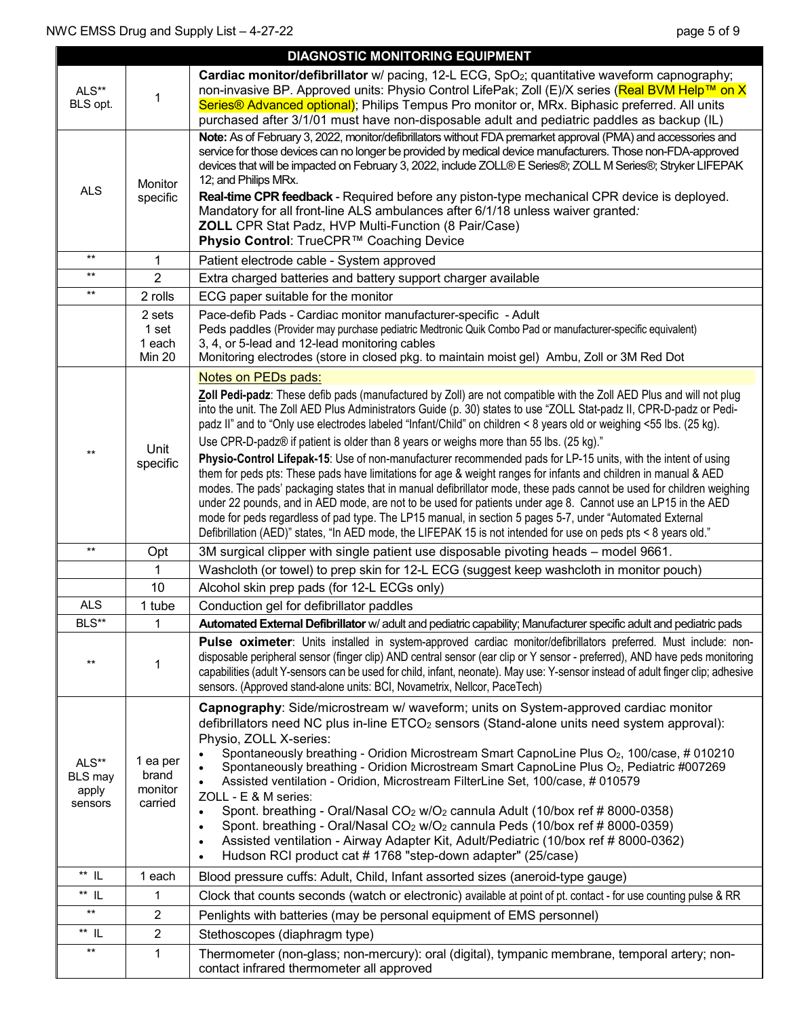|                                             |                                            | <b>DIAGNOSTIC MONITORING EQUIPMENT</b>                                                                                                                                                                                                                                                                                                                                                                                                                                                                                                                                                                                                                                                                                                                                                                                                                                                                                                                                                                                                                                                                                                                                                       |
|---------------------------------------------|--------------------------------------------|----------------------------------------------------------------------------------------------------------------------------------------------------------------------------------------------------------------------------------------------------------------------------------------------------------------------------------------------------------------------------------------------------------------------------------------------------------------------------------------------------------------------------------------------------------------------------------------------------------------------------------------------------------------------------------------------------------------------------------------------------------------------------------------------------------------------------------------------------------------------------------------------------------------------------------------------------------------------------------------------------------------------------------------------------------------------------------------------------------------------------------------------------------------------------------------------|
| ALS**<br>BLS opt.                           | 1                                          | Cardiac monitor/defibrillator w/ pacing, 12-L ECG, SpO <sub>2</sub> ; quantitative waveform capnography;<br>non-invasive BP. Approved units: Physio Control LifePak; Zoll (E)/X series (Real BVM Help™ on X<br>Series <sup>®</sup> Advanced optional); Philips Tempus Pro monitor or, MRx. Biphasic preferred. All units<br>purchased after 3/1/01 must have non-disposable adult and pediatric paddles as backup (IL)                                                                                                                                                                                                                                                                                                                                                                                                                                                                                                                                                                                                                                                                                                                                                                       |
| <b>ALS</b>                                  | Monitor<br>specific                        | Note: As of February 3, 2022, monitor/defibrillators without FDA premarket approval (PMA) and accessories and<br>service for those devices can no longer be provided by medical device manufacturers. Those non-FDA-approved<br>devices that will be impacted on February 3, 2022, include ZOLL® E Series®; ZOLL M Series®; Stryker LIFEPAK<br>12; and Philips MRx.<br>Real-time CPR feedback - Required before any piston-type mechanical CPR device is deployed.<br>Mandatory for all front-line ALS ambulances after 6/1/18 unless waiver granted:<br><b>ZOLL</b> CPR Stat Padz, HVP Multi-Function (8 Pair/Case)<br>Physio Control: TrueCPR™ Coaching Device                                                                                                                                                                                                                                                                                                                                                                                                                                                                                                                             |
| $**$                                        | $\mathbf 1$                                | Patient electrode cable - System approved                                                                                                                                                                                                                                                                                                                                                                                                                                                                                                                                                                                                                                                                                                                                                                                                                                                                                                                                                                                                                                                                                                                                                    |
| $***$                                       | $\overline{2}$                             | Extra charged batteries and battery support charger available                                                                                                                                                                                                                                                                                                                                                                                                                                                                                                                                                                                                                                                                                                                                                                                                                                                                                                                                                                                                                                                                                                                                |
| $***$                                       | 2 rolls                                    | ECG paper suitable for the monitor                                                                                                                                                                                                                                                                                                                                                                                                                                                                                                                                                                                                                                                                                                                                                                                                                                                                                                                                                                                                                                                                                                                                                           |
|                                             | 2 sets<br>1 set<br>1 each<br><b>Min 20</b> | Pace-defib Pads - Cardiac monitor manufacturer-specific - Adult<br>Peds paddles (Provider may purchase pediatric Medtronic Quik Combo Pad or manufacturer-specific equivalent)<br>3, 4, or 5-lead and 12-lead monitoring cables<br>Monitoring electrodes (store in closed pkg. to maintain moist gel) Ambu, Zoll or 3M Red Dot                                                                                                                                                                                                                                                                                                                                                                                                                                                                                                                                                                                                                                                                                                                                                                                                                                                               |
| $***$                                       | Unit<br>specific                           | Notes on PEDs pads:<br>Zoll Pedi-padz: These defib pads (manufactured by Zoll) are not compatible with the Zoll AED Plus and will not plug<br>into the unit. The Zoll AED Plus Administrators Guide (p. 30) states to use "ZOLL Stat-padz II, CPR-D-padz or Pedi-<br>padz II" and to "Only use electrodes labeled "Infant/Child" on children < 8 years old or weighing <55 lbs. (25 kg).<br>Use CPR-D-padz® if patient is older than 8 years or weighs more than 55 lbs. (25 kg)."<br>Physio-Control Lifepak-15: Use of non-manufacturer recommended pads for LP-15 units, with the intent of using<br>them for peds pts: These pads have limitations for age & weight ranges for infants and children in manual & AED<br>modes. The pads' packaging states that in manual defibrillator mode, these pads cannot be used for children weighing<br>under 22 pounds, and in AED mode, are not to be used for patients under age 8. Cannot use an LP15 in the AED<br>mode for peds regardless of pad type. The LP15 manual, in section 5 pages 5-7, under "Automated External<br>Defibrillation (AED)" states, "In AED mode, the LIFEPAK 15 is not intended for use on peds pts < 8 years old." |
| $***$                                       | Opt                                        | 3M surgical clipper with single patient use disposable pivoting heads - model 9661.                                                                                                                                                                                                                                                                                                                                                                                                                                                                                                                                                                                                                                                                                                                                                                                                                                                                                                                                                                                                                                                                                                          |
|                                             | 1                                          | Washcloth (or towel) to prep skin for 12-L ECG (suggest keep washcloth in monitor pouch)                                                                                                                                                                                                                                                                                                                                                                                                                                                                                                                                                                                                                                                                                                                                                                                                                                                                                                                                                                                                                                                                                                     |
|                                             | 10                                         | Alcohol skin prep pads (for 12-L ECGs only)                                                                                                                                                                                                                                                                                                                                                                                                                                                                                                                                                                                                                                                                                                                                                                                                                                                                                                                                                                                                                                                                                                                                                  |
| <b>ALS</b>                                  | 1 tube                                     | Conduction gel for defibrillator paddles                                                                                                                                                                                                                                                                                                                                                                                                                                                                                                                                                                                                                                                                                                                                                                                                                                                                                                                                                                                                                                                                                                                                                     |
| BLS**                                       |                                            | Automated External Defibrillator w/ adult and pediatric capability; Manufacturer specific adult and pediatric pads                                                                                                                                                                                                                                                                                                                                                                                                                                                                                                                                                                                                                                                                                                                                                                                                                                                                                                                                                                                                                                                                           |
| $***$                                       | 1                                          | Pulse oximeter: Units installed in system-approved cardiac monitor/defibrillators preferred. Must include: non-<br>disposable peripheral sensor (finger clip) AND central sensor (ear clip or Y sensor - preferred), AND have peds monitoring<br>capabilities (adult Y-sensors can be used for child, infant, neonate). May use: Y-sensor instead of adult finger clip; adhesive<br>sensors. (Approved stand-alone units: BCI, Novametrix, Nellcor, PaceTech)                                                                                                                                                                                                                                                                                                                                                                                                                                                                                                                                                                                                                                                                                                                                |
| ALS**<br><b>BLS</b> may<br>apply<br>sensors | 1 ea per<br>brand<br>monitor<br>carried    | Capnography: Side/microstream w/ waveform; units on System-approved cardiac monitor<br>defibrillators need NC plus in-line ETCO <sub>2</sub> sensors (Stand-alone units need system approval):<br>Physio, ZOLL X-series:<br>Spontaneously breathing - Oridion Microstream Smart CapnoLine Plus O <sub>2</sub> , 100/case, # 010210<br>Spontaneously breathing - Oridion Microstream Smart CapnoLine Plus O <sub>2</sub> , Pediatric #007269<br>Assisted ventilation - Oridion, Microstream FilterLine Set, 100/case, #010579<br>ZOLL - E & M series:<br>Spont. breathing - Oral/Nasal CO <sub>2</sub> w/O <sub>2</sub> cannula Adult (10/box ref # 8000-0358)<br>$\bullet$<br>Spont. breathing - Oral/Nasal CO <sub>2</sub> w/O <sub>2</sub> cannula Peds (10/box ref # 8000-0359)<br>$\bullet$<br>Assisted ventilation - Airway Adapter Kit, Adult/Pediatric (10/box ref # 8000-0362)<br>$\bullet$<br>Hudson RCI product cat #1768 "step-down adapter" (25/case)<br>$\bullet$                                                                                                                                                                                                               |
| $**$ IL                                     | 1 each                                     | Blood pressure cuffs: Adult, Child, Infant assorted sizes (aneroid-type gauge)                                                                                                                                                                                                                                                                                                                                                                                                                                                                                                                                                                                                                                                                                                                                                                                                                                                                                                                                                                                                                                                                                                               |
| $**$ IL                                     | 1                                          | Clock that counts seconds (watch or electronic) available at point of pt. contact - for use counting pulse & RR                                                                                                                                                                                                                                                                                                                                                                                                                                                                                                                                                                                                                                                                                                                                                                                                                                                                                                                                                                                                                                                                              |
| $***$                                       | $\overline{2}$                             | Penlights with batteries (may be personal equipment of EMS personnel)                                                                                                                                                                                                                                                                                                                                                                                                                                                                                                                                                                                                                                                                                                                                                                                                                                                                                                                                                                                                                                                                                                                        |
| ** IL                                       | $\overline{2}$                             | Stethoscopes (diaphragm type)                                                                                                                                                                                                                                                                                                                                                                                                                                                                                                                                                                                                                                                                                                                                                                                                                                                                                                                                                                                                                                                                                                                                                                |
| $***$                                       | 1                                          | Thermometer (non-glass; non-mercury): oral (digital), tympanic membrane, temporal artery; non-<br>contact infrared thermometer all approved                                                                                                                                                                                                                                                                                                                                                                                                                                                                                                                                                                                                                                                                                                                                                                                                                                                                                                                                                                                                                                                  |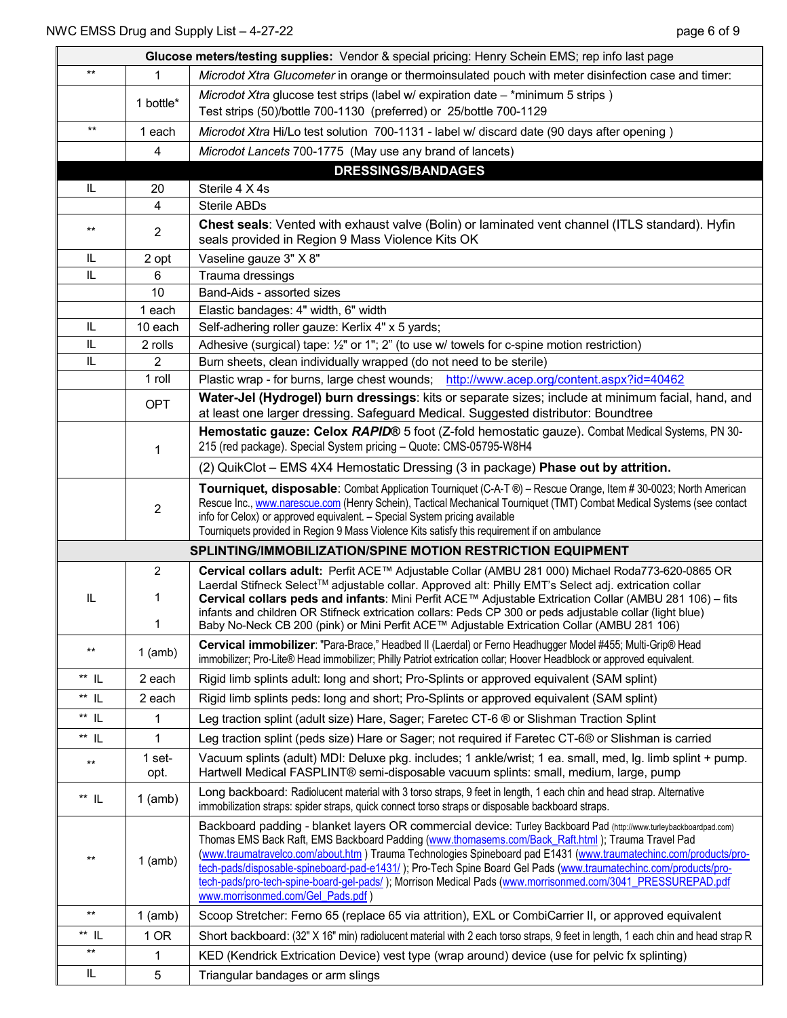|                                                             | Glucose meters/testing supplies: Vendor & special pricing: Henry Schein EMS; rep info last page |                                                                                                                                                                                                                                                                                                                                                                                                                                                                                                                                                                                                                  |  |  |  |
|-------------------------------------------------------------|-------------------------------------------------------------------------------------------------|------------------------------------------------------------------------------------------------------------------------------------------------------------------------------------------------------------------------------------------------------------------------------------------------------------------------------------------------------------------------------------------------------------------------------------------------------------------------------------------------------------------------------------------------------------------------------------------------------------------|--|--|--|
| $***$                                                       | 1                                                                                               | Microdot Xtra Glucometer in orange or thermoinsulated pouch with meter disinfection case and timer:                                                                                                                                                                                                                                                                                                                                                                                                                                                                                                              |  |  |  |
|                                                             | 1 bottle*                                                                                       | Microdot Xtra glucose test strips (label w/ expiration date - *minimum 5 strips)<br>Test strips (50)/bottle 700-1130 (preferred) or 25/bottle 700-1129                                                                                                                                                                                                                                                                                                                                                                                                                                                           |  |  |  |
| $***$                                                       | 1 each                                                                                          | Microdot Xtra Hi/Lo test solution 700-1131 - label w/ discard date (90 days after opening)                                                                                                                                                                                                                                                                                                                                                                                                                                                                                                                       |  |  |  |
|                                                             | 4                                                                                               | Microdot Lancets 700-1775 (May use any brand of lancets)                                                                                                                                                                                                                                                                                                                                                                                                                                                                                                                                                         |  |  |  |
|                                                             |                                                                                                 | <b>DRESSINGS/BANDAGES</b>                                                                                                                                                                                                                                                                                                                                                                                                                                                                                                                                                                                        |  |  |  |
| IL                                                          | 20                                                                                              | Sterile 4 X 4s                                                                                                                                                                                                                                                                                                                                                                                                                                                                                                                                                                                                   |  |  |  |
|                                                             | 4                                                                                               | <b>Sterile ABDs</b>                                                                                                                                                                                                                                                                                                                                                                                                                                                                                                                                                                                              |  |  |  |
| $***$                                                       | $\overline{c}$                                                                                  | Chest seals: Vented with exhaust valve (Bolin) or laminated vent channel (ITLS standard). Hyfin<br>seals provided in Region 9 Mass Violence Kits OK                                                                                                                                                                                                                                                                                                                                                                                                                                                              |  |  |  |
| IL                                                          | 2 opt                                                                                           | Vaseline gauze 3" X 8"                                                                                                                                                                                                                                                                                                                                                                                                                                                                                                                                                                                           |  |  |  |
| IL                                                          | 6                                                                                               | Trauma dressings                                                                                                                                                                                                                                                                                                                                                                                                                                                                                                                                                                                                 |  |  |  |
|                                                             | 10                                                                                              | Band-Aids - assorted sizes                                                                                                                                                                                                                                                                                                                                                                                                                                                                                                                                                                                       |  |  |  |
|                                                             | 1 each                                                                                          | Elastic bandages: 4" width, 6" width                                                                                                                                                                                                                                                                                                                                                                                                                                                                                                                                                                             |  |  |  |
| IL                                                          | 10 each                                                                                         | Self-adhering roller gauze: Kerlix 4" x 5 yards;                                                                                                                                                                                                                                                                                                                                                                                                                                                                                                                                                                 |  |  |  |
| IL                                                          | 2 rolls                                                                                         | Adhesive (surgical) tape: 1/2" or 1"; 2" (to use w/ towels for c-spine motion restriction)                                                                                                                                                                                                                                                                                                                                                                                                                                                                                                                       |  |  |  |
| IL                                                          | 2                                                                                               | Burn sheets, clean individually wrapped (do not need to be sterile)                                                                                                                                                                                                                                                                                                                                                                                                                                                                                                                                              |  |  |  |
|                                                             | 1 roll                                                                                          | Plastic wrap - for burns, large chest wounds; http://www.acep.org/content.aspx?id=40462                                                                                                                                                                                                                                                                                                                                                                                                                                                                                                                          |  |  |  |
|                                                             | <b>OPT</b>                                                                                      | Water-Jel (Hydrogel) burn dressings: kits or separate sizes; include at minimum facial, hand, and<br>at least one larger dressing. Safeguard Medical. Suggested distributor: Boundtree                                                                                                                                                                                                                                                                                                                                                                                                                           |  |  |  |
|                                                             | 1                                                                                               | Hemostatic gauze: Celox RAPID® 5 foot (Z-fold hemostatic gauze). Combat Medical Systems, PN 30-<br>215 (red package). Special System pricing - Quote: CMS-05795-W8H4                                                                                                                                                                                                                                                                                                                                                                                                                                             |  |  |  |
|                                                             |                                                                                                 | (2) QuikClot – EMS 4X4 Hemostatic Dressing (3 in package) Phase out by attrition.                                                                                                                                                                                                                                                                                                                                                                                                                                                                                                                                |  |  |  |
|                                                             | $\overline{2}$                                                                                  | Tourniquet, disposable: Combat Application Tourniquet (C-A-T ®) - Rescue Orange, Item # 30-0023; North American<br>Rescue Inc., www.narescue.com (Henry Schein), Tactical Mechanical Tourniquet (TMT) Combat Medical Systems (see contact<br>info for Celox) or approved equivalent. - Special System pricing available<br>Tourniquets provided in Region 9 Mass Violence Kits satisfy this requirement if on ambulance                                                                                                                                                                                          |  |  |  |
| SPLINTING/IMMOBILIZATION/SPINE MOTION RESTRICTION EQUIPMENT |                                                                                                 |                                                                                                                                                                                                                                                                                                                                                                                                                                                                                                                                                                                                                  |  |  |  |
|                                                             | 2                                                                                               | Cervical collars adult: Perfit ACE™ Adjustable Collar (AMBU 281 000) Michael Roda773-620-0865 OR                                                                                                                                                                                                                                                                                                                                                                                                                                                                                                                 |  |  |  |
| IL                                                          | 1<br>1                                                                                          | Laerdal Stifneck Select™ adjustable collar. Approved alt: Philly EMT's Select adj. extrication collar<br>Cervical collars peds and infants: Mini Perfit ACE™ Adjustable Extrication Collar (AMBU 281 106) - fits<br>infants and children OR Stifneck extrication collars: Peds CP 300 or peds adjustable collar (light blue)<br>Baby No-Neck CB 200 (pink) or Mini Perfit ACE™ Adjustable Extrication Collar (AMBU 281 106)                                                                                                                                                                                      |  |  |  |
| $\star\star$                                                | $1$ (amb)                                                                                       | Cervical immobilizer: "Para-Brace," Headbed II (Laerdal) or Ferno Headhugger Model #455; Multi-Grip® Head<br>immobilizer; Pro-Lite® Head immobilizer; Philly Patriot extrication collar; Hoover Headblock or approved equivalent.                                                                                                                                                                                                                                                                                                                                                                                |  |  |  |
| $^{\star\star}$ IL                                          | 2 each                                                                                          | Rigid limb splints adult: long and short; Pro-Splints or approved equivalent (SAM splint)                                                                                                                                                                                                                                                                                                                                                                                                                                                                                                                        |  |  |  |
| $^{\star\star}$ IL                                          | 2 each                                                                                          | Rigid limb splints peds: long and short; Pro-Splints or approved equivalent (SAM splint)                                                                                                                                                                                                                                                                                                                                                                                                                                                                                                                         |  |  |  |
| $**$ IL                                                     | 1                                                                                               | Leg traction splint (adult size) Hare, Sager; Faretec CT-6 ® or Slishman Traction Splint                                                                                                                                                                                                                                                                                                                                                                                                                                                                                                                         |  |  |  |
| ** IL                                                       | 1                                                                                               | Leg traction splint (peds size) Hare or Sager; not required if Faretec CT-6® or Slishman is carried                                                                                                                                                                                                                                                                                                                                                                                                                                                                                                              |  |  |  |
|                                                             | 1 set-                                                                                          | Vacuum splints (adult) MDI: Deluxe pkg. includes; 1 ankle/wrist; 1 ea. small, med, Ig. limb splint + pump.                                                                                                                                                                                                                                                                                                                                                                                                                                                                                                       |  |  |  |
| $***$                                                       | opt.                                                                                            | Hartwell Medical FASPLINT® semi-disposable vacuum splints: small, medium, large, pump                                                                                                                                                                                                                                                                                                                                                                                                                                                                                                                            |  |  |  |
| $^{\star\star}$ IL                                          | $1$ (amb)                                                                                       | Long backboard: Radiolucent material with 3 torso straps, 9 feet in length, 1 each chin and head strap. Alternative<br>immobilization straps: spider straps, quick connect torso straps or disposable backboard straps.                                                                                                                                                                                                                                                                                                                                                                                          |  |  |  |
| $***$                                                       | $1$ (amb)                                                                                       | Backboard padding - blanket layers OR commercial device: Turley Backboard Pad (http://www.turleybackboardpad.com)<br>Thomas EMS Back Raft, EMS Backboard Padding (www.thomasems.com/Back_Raft.html); Trauma Travel Pad<br>(www.traumatravelco.com/about.htm) Trauma Technologies Spineboard pad E1431 (www.traumatechinc.com/products/pro-<br>tech-pads/disposable-spineboard-pad-e1431/); Pro-Tech Spine Board Gel Pads (www.traumatechinc.com/products/pro-<br>tech-pads/pro-tech-spine-board-gel-pads/); Morrison Medical Pads (www.morrisonmed.com/3041_PRESSUREPAD.pdf<br>www.morrisonmed.com/Gel Pads.pdf) |  |  |  |
| $\star\star$                                                | $1$ (amb)                                                                                       | Scoop Stretcher: Ferno 65 (replace 65 via attrition), EXL or CombiCarrier II, or approved equivalent                                                                                                                                                                                                                                                                                                                                                                                                                                                                                                             |  |  |  |
| $^{\star\star}$ IL                                          | 1 OR                                                                                            | Short backboard: (32" X 16" min) radiolucent material with 2 each torso straps, 9 feet in length, 1 each chin and head strap R                                                                                                                                                                                                                                                                                                                                                                                                                                                                                   |  |  |  |
| $\star\star$                                                | 1                                                                                               | KED (Kendrick Extrication Device) vest type (wrap around) device (use for pelvic fx splinting)                                                                                                                                                                                                                                                                                                                                                                                                                                                                                                                   |  |  |  |
| IL                                                          | 5                                                                                               | Triangular bandages or arm slings                                                                                                                                                                                                                                                                                                                                                                                                                                                                                                                                                                                |  |  |  |
|                                                             |                                                                                                 |                                                                                                                                                                                                                                                                                                                                                                                                                                                                                                                                                                                                                  |  |  |  |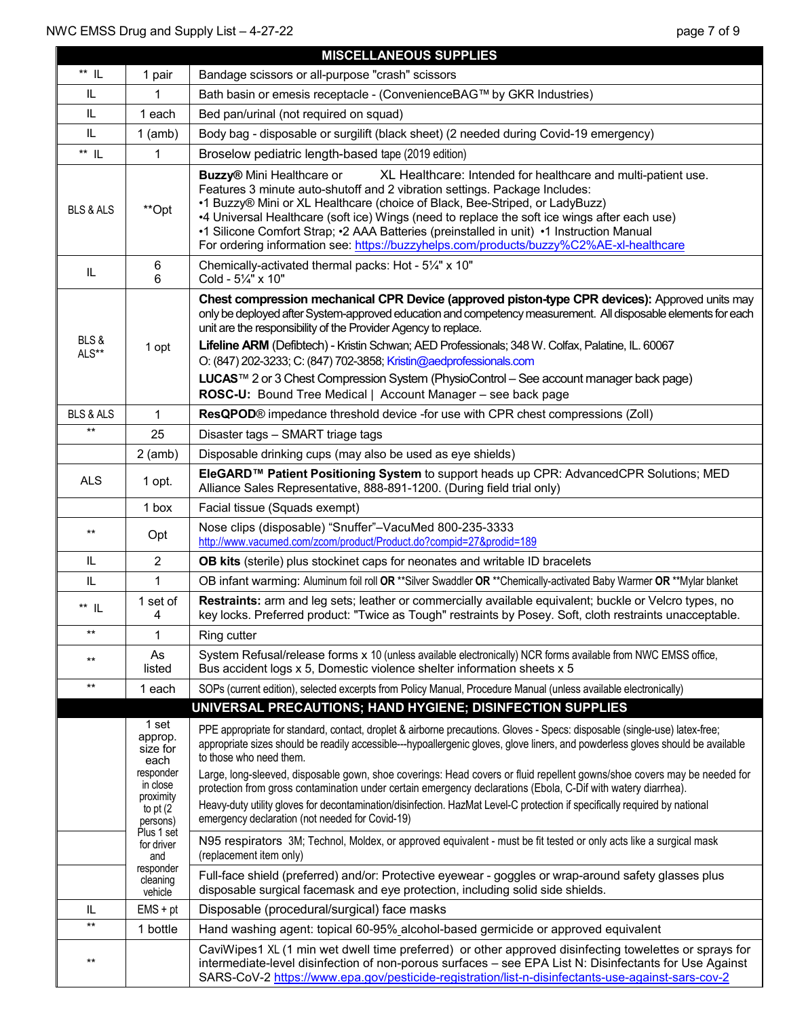|                      |                                                                                                       | <b>MISCELLANEOUS SUPPLIES</b>                                                                                                                                                                                                                                                                                                                                                                                                                                                                                                                                                                                                                                                                                          |  |  |
|----------------------|-------------------------------------------------------------------------------------------------------|------------------------------------------------------------------------------------------------------------------------------------------------------------------------------------------------------------------------------------------------------------------------------------------------------------------------------------------------------------------------------------------------------------------------------------------------------------------------------------------------------------------------------------------------------------------------------------------------------------------------------------------------------------------------------------------------------------------------|--|--|
| $^{\star\star}$ IL   | 1 pair                                                                                                | Bandage scissors or all-purpose "crash" scissors                                                                                                                                                                                                                                                                                                                                                                                                                                                                                                                                                                                                                                                                       |  |  |
| IL                   |                                                                                                       | Bath basin or emesis receptacle - (ConvenienceBAG™ by GKR Industries)                                                                                                                                                                                                                                                                                                                                                                                                                                                                                                                                                                                                                                                  |  |  |
| $\sf IL$             | 1 each                                                                                                | Bed pan/urinal (not required on squad)                                                                                                                                                                                                                                                                                                                                                                                                                                                                                                                                                                                                                                                                                 |  |  |
| $\mathsf{IL}$        | $1$ (amb)                                                                                             | Body bag - disposable or surgilift (black sheet) (2 needed during Covid-19 emergency)                                                                                                                                                                                                                                                                                                                                                                                                                                                                                                                                                                                                                                  |  |  |
| ** IL                | 1                                                                                                     | Broselow pediatric length-based tape (2019 edition)                                                                                                                                                                                                                                                                                                                                                                                                                                                                                                                                                                                                                                                                    |  |  |
| <b>BLS &amp; ALS</b> | **Opt                                                                                                 | <b>Buzzy®</b> Mini Healthcare or<br>XL Healthcare: Intended for healthcare and multi-patient use.<br>Features 3 minute auto-shutoff and 2 vibration settings. Package Includes:<br>•1 Buzzy® Mini or XL Healthcare (choice of Black, Bee-Striped, or LadyBuzz)<br>•4 Universal Healthcare (soft ice) Wings (need to replace the soft ice wings after each use)<br>•1 Silicone Comfort Strap; •2 AAA Batteries (preinstalled in unit) •1 Instruction Manual<br>For ordering information see: https://buzzyhelps.com/products/buzzy%C2%AE-xl-healthcare                                                                                                                                                                  |  |  |
| $\mathsf{IL}$        | 6<br>6                                                                                                | Chemically-activated thermal packs: Hot - 51/4" x 10"<br>Cold - 51/4" x 10"                                                                                                                                                                                                                                                                                                                                                                                                                                                                                                                                                                                                                                            |  |  |
| BLS&<br>ALS**        | 1 opt                                                                                                 | Chest compression mechanical CPR Device (approved piston-type CPR devices): Approved units may<br>only be deployed after System-approved education and competency measurement. All disposable elements for each<br>unit are the responsibility of the Provider Agency to replace.<br>Lifeline ARM (Defibtech) - Kristin Schwan; AED Professionals; 348 W. Colfax, Palatine, IL. 60067<br>O: (847) 202-3233; C: (847) 702-3858; Kristin@aedprofessionals.com<br>LUCAS™ 2 or 3 Chest Compression System (PhysioControl - See account manager back page)<br>ROSC-U: Bound Tree Medical   Account Manager - see back page                                                                                                  |  |  |
| <b>BLS &amp; ALS</b> | 1                                                                                                     | ResQPOD® impedance threshold device -for use with CPR chest compressions (Zoll)                                                                                                                                                                                                                                                                                                                                                                                                                                                                                                                                                                                                                                        |  |  |
| $**$                 | 25                                                                                                    | Disaster tags - SMART triage tags                                                                                                                                                                                                                                                                                                                                                                                                                                                                                                                                                                                                                                                                                      |  |  |
|                      | $2$ (amb)                                                                                             | Disposable drinking cups (may also be used as eye shields)                                                                                                                                                                                                                                                                                                                                                                                                                                                                                                                                                                                                                                                             |  |  |
| <b>ALS</b>           | 1 opt.                                                                                                | EleGARD <sup>™</sup> Patient Positioning System to support heads up CPR: AdvancedCPR Solutions; MED<br>Alliance Sales Representative, 888-891-1200. (During field trial only)                                                                                                                                                                                                                                                                                                                                                                                                                                                                                                                                          |  |  |
|                      | 1 box                                                                                                 | Facial tissue (Squads exempt)                                                                                                                                                                                                                                                                                                                                                                                                                                                                                                                                                                                                                                                                                          |  |  |
| $***$                | Opt                                                                                                   | Nose clips (disposable) "Snuffer"-VacuMed 800-235-3333<br>http://www.vacumed.com/zcom/product/Product.do?compid=27&prodid=189                                                                                                                                                                                                                                                                                                                                                                                                                                                                                                                                                                                          |  |  |
| $\mathsf{IL}$        | $\overline{2}$                                                                                        | OB kits (sterile) plus stockinet caps for neonates and writable ID bracelets                                                                                                                                                                                                                                                                                                                                                                                                                                                                                                                                                                                                                                           |  |  |
| IL                   | 1                                                                                                     | OB infant warming: Aluminum foil roll OR **Silver Swaddler OR **Chemically-activated Baby Warmer OR **Mylar blanket                                                                                                                                                                                                                                                                                                                                                                                                                                                                                                                                                                                                    |  |  |
| $**$ IL              | 1 set of<br>4                                                                                         | Restraints: arm and leg sets; leather or commercially available equivalent; buckle or Velcro types, no<br>key locks. Preferred product: "Twice as Tough" restraints by Posey. Soft, cloth restraints unacceptable.                                                                                                                                                                                                                                                                                                                                                                                                                                                                                                     |  |  |
| $***$                | 1                                                                                                     | Ring cutter                                                                                                                                                                                                                                                                                                                                                                                                                                                                                                                                                                                                                                                                                                            |  |  |
| $***$                | As<br>listed                                                                                          | System Refusal/release forms x 10 (unless available electronically) NCR forms available from NWC EMSS office,<br>Bus accident logs x 5, Domestic violence shelter information sheets x 5                                                                                                                                                                                                                                                                                                                                                                                                                                                                                                                               |  |  |
| $***$                | 1 each                                                                                                | SOPs (current edition), selected excerpts from Policy Manual, Procedure Manual (unless available electronically)                                                                                                                                                                                                                                                                                                                                                                                                                                                                                                                                                                                                       |  |  |
|                      |                                                                                                       | UNIVERSAL PRECAUTIONS; HAND HYGIENE; DISINFECTION SUPPLIES                                                                                                                                                                                                                                                                                                                                                                                                                                                                                                                                                                                                                                                             |  |  |
|                      | 1 set<br>approp.<br>size for<br>each<br>responder<br>in close<br>proximity<br>to pt $(2)$<br>persons) | PPE appropriate for standard, contact, droplet & airborne precautions. Gloves - Specs: disposable (single-use) latex-free;<br>appropriate sizes should be readily accessible---hypoallergenic gloves, glove liners, and powderless gloves should be available<br>to those who need them.<br>Large, long-sleeved, disposable gown, shoe coverings: Head covers or fluid repellent gowns/shoe covers may be needed for<br>protection from gross contamination under certain emergency declarations (Ebola, C-Dif with watery diarrhea).<br>Heavy-duty utility gloves for decontamination/disinfection. HazMat Level-C protection if specifically required by national<br>emergency declaration (not needed for Covid-19) |  |  |
|                      | Plus 1 set<br>for driver<br>and                                                                       | N95 respirators 3M; Technol, Moldex, or approved equivalent - must be fit tested or only acts like a surgical mask<br>(replacement item only)                                                                                                                                                                                                                                                                                                                                                                                                                                                                                                                                                                          |  |  |
|                      | responder<br>cleaning<br>vehicle                                                                      | Full-face shield (preferred) and/or: Protective eyewear - goggles or wrap-around safety glasses plus<br>disposable surgical facemask and eye protection, including solid side shields.                                                                                                                                                                                                                                                                                                                                                                                                                                                                                                                                 |  |  |
| IL                   | $EMS + pt$                                                                                            | Disposable (procedural/surgical) face masks                                                                                                                                                                                                                                                                                                                                                                                                                                                                                                                                                                                                                                                                            |  |  |
| $\star\star$         | 1 bottle                                                                                              | Hand washing agent: topical 60-95% alcohol-based germicide or approved equivalent                                                                                                                                                                                                                                                                                                                                                                                                                                                                                                                                                                                                                                      |  |  |
| $***$                |                                                                                                       | CaviWipes1 XL (1 min wet dwell time preferred) or other approved disinfecting towelettes or sprays for<br>intermediate-level disinfection of non-porous surfaces - see EPA List N: Disinfectants for Use Against<br>SARS-CoV-2 https://www.epa.gov/pesticide-registration/list-n-disinfectants-use-against-sars-cov-2                                                                                                                                                                                                                                                                                                                                                                                                  |  |  |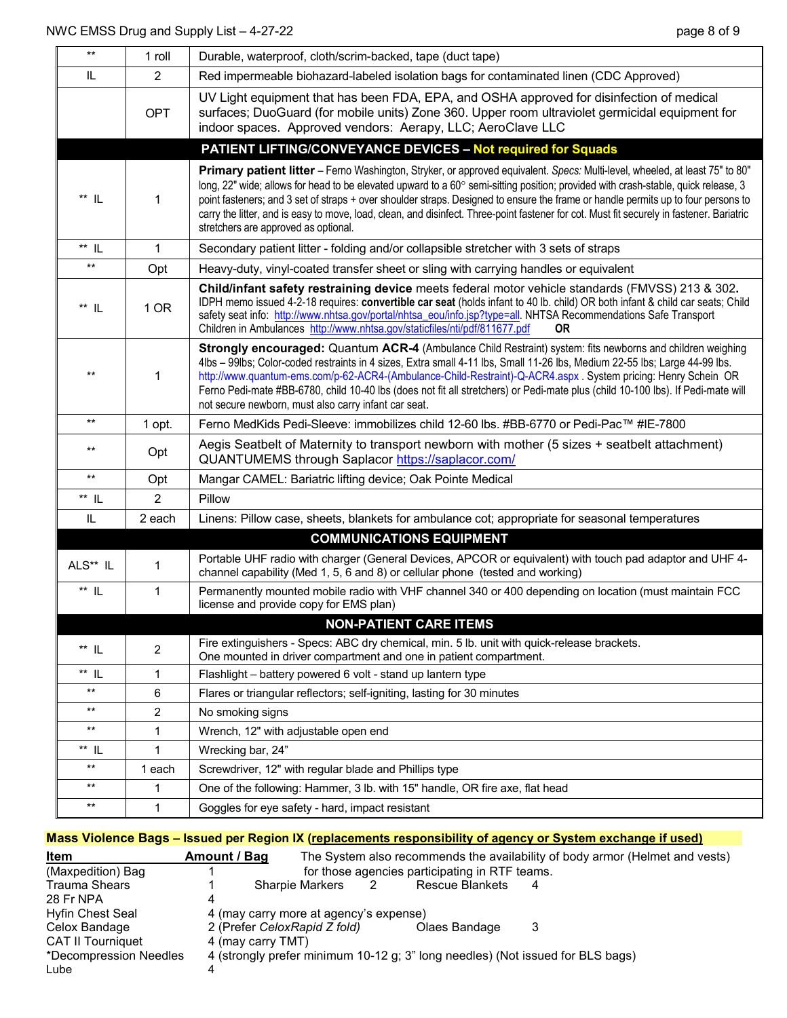| $***$              | 1 roll         | Durable, waterproof, cloth/scrim-backed, tape (duct tape)                                                                                                                                                                                                                                                                                                                                                                                                                                                                                                                                    |
|--------------------|----------------|----------------------------------------------------------------------------------------------------------------------------------------------------------------------------------------------------------------------------------------------------------------------------------------------------------------------------------------------------------------------------------------------------------------------------------------------------------------------------------------------------------------------------------------------------------------------------------------------|
| IL                 | 2              | Red impermeable biohazard-labeled isolation bags for contaminated linen (CDC Approved)                                                                                                                                                                                                                                                                                                                                                                                                                                                                                                       |
|                    | <b>OPT</b>     | UV Light equipment that has been FDA, EPA, and OSHA approved for disinfection of medical<br>surfaces; DuoGuard (for mobile units) Zone 360. Upper room ultraviolet germicidal equipment for<br>indoor spaces. Approved vendors: Aerapy, LLC; AeroClave LLC                                                                                                                                                                                                                                                                                                                                   |
|                    |                | <b>PATIENT LIFTING/CONVEYANCE DEVICES - Not required for Squads</b>                                                                                                                                                                                                                                                                                                                                                                                                                                                                                                                          |
| $^{\star\star}$ IL | 1              | Primary patient litter - Ferno Washington, Stryker, or approved equivalent. Specs: Multi-level, wheeled, at least 75" to 80"<br>long, 22" wide; allows for head to be elevated upward to a 60° semi-sitting position; provided with crash-stable, quick release, 3<br>point fasteners; and 3 set of straps + over shoulder straps. Designed to ensure the frame or handle permits up to four persons to<br>carry the litter, and is easy to move, load, clean, and disinfect. Three-point fastener for cot. Must fit securely in fastener. Bariatric<br>stretchers are approved as optional. |
| $**$ IL            | 1              | Secondary patient litter - folding and/or collapsible stretcher with 3 sets of straps                                                                                                                                                                                                                                                                                                                                                                                                                                                                                                        |
| $\star\star$       | Opt            | Heavy-duty, vinyl-coated transfer sheet or sling with carrying handles or equivalent                                                                                                                                                                                                                                                                                                                                                                                                                                                                                                         |
| $^{\star\star}$ IL | 1 OR           | Child/infant safety restraining device meets federal motor vehicle standards (FMVSS) 213 & 302.<br>IDPH memo issued 4-2-18 requires: convertible car seat (holds infant to 40 lb. child) OR both infant & child car seats; Child<br>safety seat info: http://www.nhtsa.gov/portal/nhtsa_eou/info.jsp?type=all. NHTSA Recommendations Safe Transport<br>Children in Ambulances http://www.nhtsa.gov/staticfiles/nti/pdf/811677.pdf<br><b>OR</b>                                                                                                                                               |
| $***$              | 1              | Strongly encouraged: Quantum ACR-4 (Ambulance Child Restraint) system: fits newborns and children weighing<br>4lbs - 99lbs; Color-coded restraints in 4 sizes, Extra small 4-11 lbs, Small 11-26 lbs, Medium 22-55 lbs; Large 44-99 lbs.<br>http://www.quantum-ems.com/p-62-ACR4-(Ambulance-Child-Restraint)-Q-ACR4.aspx. System pricing: Henry Schein OR<br>Ferno Pedi-mate #BB-6780, child 10-40 lbs (does not fit all stretchers) or Pedi-mate plus (child 10-100 lbs). If Pedi-mate will<br>not secure newborn, must also carry infant car seat.                                         |
| $**$               | 1 opt.         | Ferno MedKids Pedi-Sleeve: immobilizes child 12-60 lbs. #BB-6770 or Pedi-Pac™ #IE-7800                                                                                                                                                                                                                                                                                                                                                                                                                                                                                                       |
| $***$              | Opt            | Aegis Seatbelt of Maternity to transport newborn with mother (5 sizes + seatbelt attachment)<br>QUANTUMEMS through Saplacor https://saplacor.com/                                                                                                                                                                                                                                                                                                                                                                                                                                            |
| $\star\star$       | Opt            | Mangar CAMEL: Bariatric lifting device; Oak Pointe Medical                                                                                                                                                                                                                                                                                                                                                                                                                                                                                                                                   |
| ** IL              | 2              | Pillow                                                                                                                                                                                                                                                                                                                                                                                                                                                                                                                                                                                       |
| IL                 | 2 each         | Linens: Pillow case, sheets, blankets for ambulance cot; appropriate for seasonal temperatures                                                                                                                                                                                                                                                                                                                                                                                                                                                                                               |
|                    |                | <b>COMMUNICATIONS EQUIPMENT</b>                                                                                                                                                                                                                                                                                                                                                                                                                                                                                                                                                              |
| ALS** IL           | 1              | Portable UHF radio with charger (General Devices, APCOR or equivalent) with touch pad adaptor and UHF 4-<br>channel capability (Med 1, 5, 6 and 8) or cellular phone (tested and working)                                                                                                                                                                                                                                                                                                                                                                                                    |
| $^{\star\star}$ IL | $\mathbf{1}$   | Permanently mounted mobile radio with VHF channel 340 or 400 depending on location (must maintain FCC<br>license and provide copy for EMS plan)                                                                                                                                                                                                                                                                                                                                                                                                                                              |
|                    |                | <b>NON-PATIENT CARE ITEMS</b>                                                                                                                                                                                                                                                                                                                                                                                                                                                                                                                                                                |
| $^{\star\star}$ IL | 2              | Fire extinguishers - Specs: ABC dry chemical, min. 5 lb. unit with quick-release brackets.<br>One mounted in driver compartment and one in patient compartment.                                                                                                                                                                                                                                                                                                                                                                                                                              |
| $**$ IL            | 1              | Flashlight - battery powered 6 volt - stand up lantern type                                                                                                                                                                                                                                                                                                                                                                                                                                                                                                                                  |
| $\star\star$       | 6              | Flares or triangular reflectors; self-igniting, lasting for 30 minutes                                                                                                                                                                                                                                                                                                                                                                                                                                                                                                                       |
| $***$              | $\overline{c}$ | No smoking signs                                                                                                                                                                                                                                                                                                                                                                                                                                                                                                                                                                             |
| $\star\star$       | 1              | Wrench, 12" with adjustable open end                                                                                                                                                                                                                                                                                                                                                                                                                                                                                                                                                         |
| $**$ IL            | 1              | Wrecking bar, 24"                                                                                                                                                                                                                                                                                                                                                                                                                                                                                                                                                                            |
| $\star\star$       | 1 each         | Screwdriver, 12" with regular blade and Phillips type                                                                                                                                                                                                                                                                                                                                                                                                                                                                                                                                        |
| $***$              | 1              | One of the following: Hammer, 3 lb. with 15" handle, OR fire axe, flat head                                                                                                                                                                                                                                                                                                                                                                                                                                                                                                                  |
| $***$              | 1              | Goggles for eye safety - hard, impact resistant                                                                                                                                                                                                                                                                                                                                                                                                                                                                                                                                              |

## **Mass Violence Bags – Issued per Region IX (replacements responsibility of agency or System exchange if used)**

| Item                     | Amount / Bag      |                                                |                |                                                                                | The System also recommends the availability of body armor (Helmet and vests) |
|--------------------------|-------------------|------------------------------------------------|----------------|--------------------------------------------------------------------------------|------------------------------------------------------------------------------|
| (Maxpedition) Bag        |                   | for those agencies participating in RTF teams. |                |                                                                                |                                                                              |
| <b>Trauma Shears</b>     |                   | Sharpie Markers                                | $\overline{2}$ | <b>Rescue Blankets</b>                                                         |                                                                              |
| 28 Fr NPA                |                   |                                                |                |                                                                                |                                                                              |
| Hyfin Chest Seal         |                   | 4 (may carry more at agency's expense)         |                |                                                                                |                                                                              |
| Celox Bandage            |                   | 2 (Prefer CeloxRapid Z fold)                   |                | Olaes Bandage                                                                  |                                                                              |
| <b>CAT II Tourniquet</b> | 4 (may carry TMT) |                                                |                |                                                                                |                                                                              |
| *Decompression Needles   |                   |                                                |                | 4 (strongly prefer minimum 10-12 g; 3" long needles) (Not issued for BLS bags) |                                                                              |
| Lube                     |                   |                                                |                |                                                                                |                                                                              |